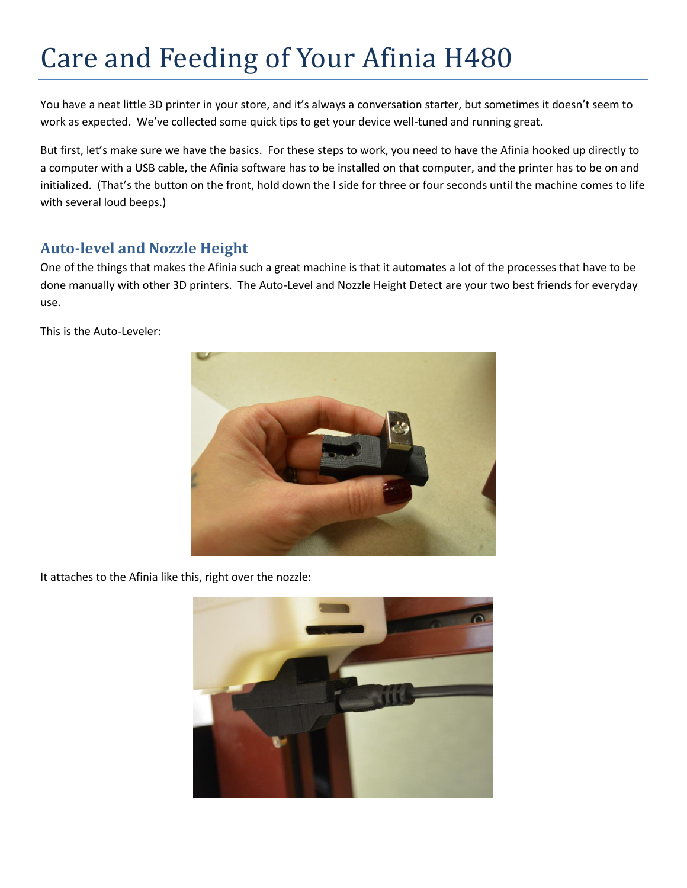## Care and Feeding of Your Afinia H480

You have a neat little 3D printer in your store, and it's always a conversation starter, but sometimes it doesn't seem to work as expected. We've collected some quick tips to get your device well-tuned and running great.

But first, let's make sure we have the basics. For these steps to work, you need to have the Afinia hooked up directly to a computer with a USB cable, the Afinia software has to be installed on that computer, and the printer has to be on and initialized. (That's the button on the front, hold down the I side for three or four seconds until the machine comes to life with several loud beeps.)

## **Auto-level and Nozzle Height**

One of the things that makes the Afinia such a great machine is that it automates a lot of the processes that have to be done manually with other 3D printers. The Auto-Level and Nozzle Height Detect are your two best friends for everyday use.

This is the Auto-Leveler:



It attaches to the Afinia like this, right over the nozzle:

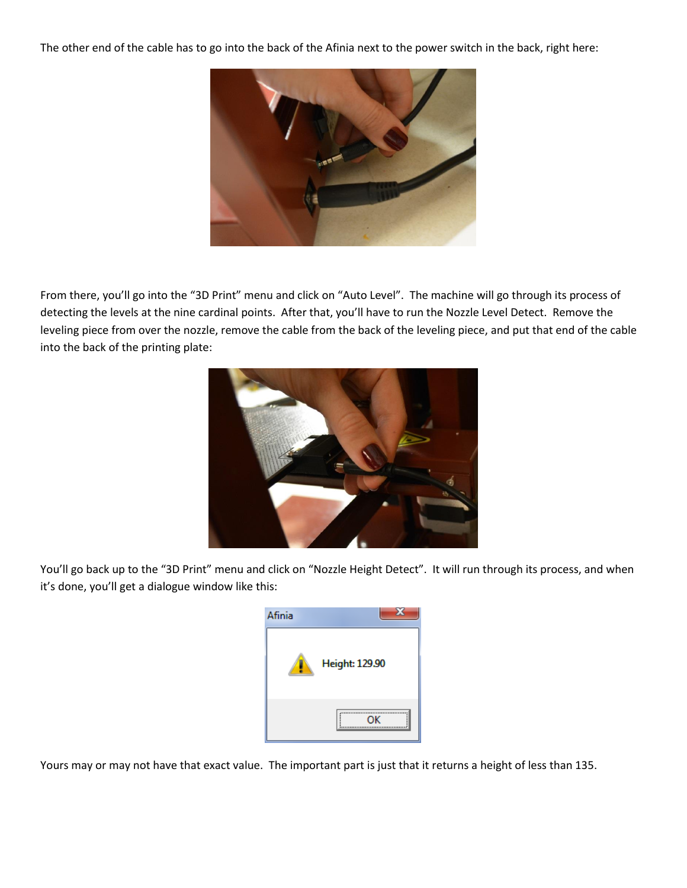The other end of the cable has to go into the back of the Afinia next to the power switch in the back, right here:



From there, you'll go into the "3D Print" menu and click on "Auto Level". The machine will go through its process of detecting the levels at the nine cardinal points. After that, you'll have to run the Nozzle Level Detect. Remove the leveling piece from over the nozzle, remove the cable from the back of the leveling piece, and put that end of the cable into the back of the printing plate:



You'll go back up to the "3D Print" menu and click on "Nozzle Height Detect". It will run through its process, and when it's done, you'll get a dialogue window like this:

| Afinia |                       |
|--------|-----------------------|
|        | <b>Height: 129.90</b> |
|        | <br>                  |

Yours may or may not have that exact value. The important part is just that it returns a height of less than 135.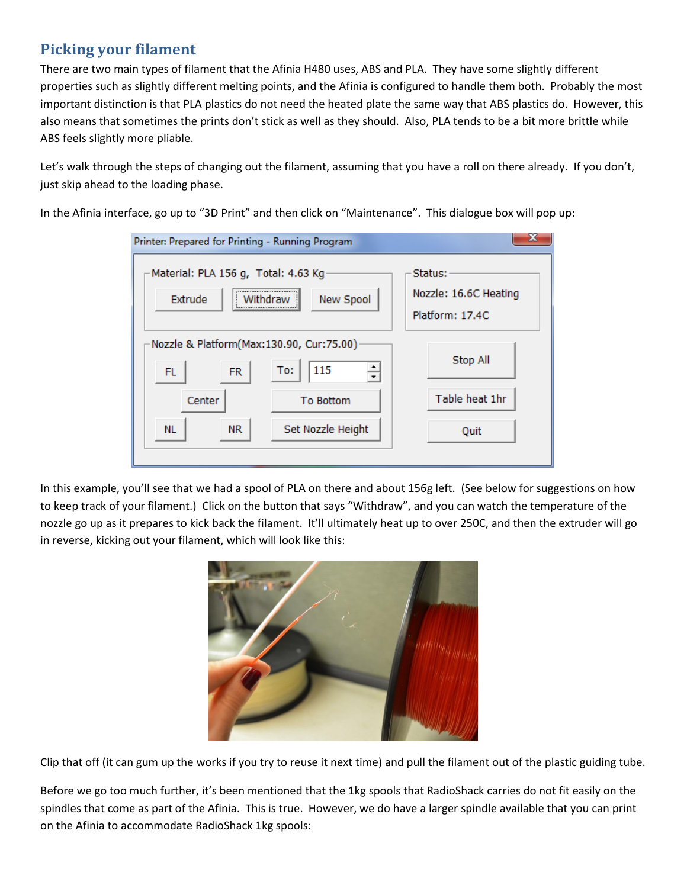## **Picking your filament**

There are two main types of filament that the Afinia H480 uses, ABS and PLA. They have some slightly different properties such as slightly different melting points, and the Afinia is configured to handle them both. Probably the most important distinction is that PLA plastics do not need the heated plate the same way that ABS plastics do. However, this also means that sometimes the prints don't stick as well as they should. Also, PLA tends to be a bit more brittle while ABS feels slightly more pliable.

Let's walk through the steps of changing out the filament, assuming that you have a roll on there already. If you don't, just skip ahead to the loading phase.

In the Afinia interface, go up to "3D Print" and then click on "Maintenance". This dialogue box will pop up:

| Printer: Prepared for Printing - Running Program                            |                   |                                                     |  |  |
|-----------------------------------------------------------------------------|-------------------|-----------------------------------------------------|--|--|
| Material: PLA 156 g, Total: 4.63 Kg<br><br>New Spool<br>Extrude<br>Withdraw |                   | Status:<br>Nozzle: 16.6C Heating<br>Platform: 17.4C |  |  |
| Nozzle & Platform(Max:130.90, Cur:75.00)<br>115<br>To:<br>FL<br><b>FR</b>   |                   | Stop All                                            |  |  |
| Center                                                                      | <b>To Bottom</b>  | Table heat 1hr                                      |  |  |
| NL.<br>NR.                                                                  | Set Nozzle Height | Quit                                                |  |  |

In this example, you'll see that we had a spool of PLA on there and about 156g left. (See below for suggestions on how to keep track of your filament.) Click on the button that says "Withdraw", and you can watch the temperature of the nozzle go up as it prepares to kick back the filament. It'll ultimately heat up to over 250C, and then the extruder will go in reverse, kicking out your filament, which will look like this:



Clip that off (it can gum up the works if you try to reuse it next time) and pull the filament out of the plastic guiding tube.

Before we go too much further, it's been mentioned that the 1kg spools that RadioShack carries do not fit easily on the spindles that come as part of the Afinia. This is true. However, we do have a larger spindle available that you can print on the Afinia to accommodate RadioShack 1kg spools: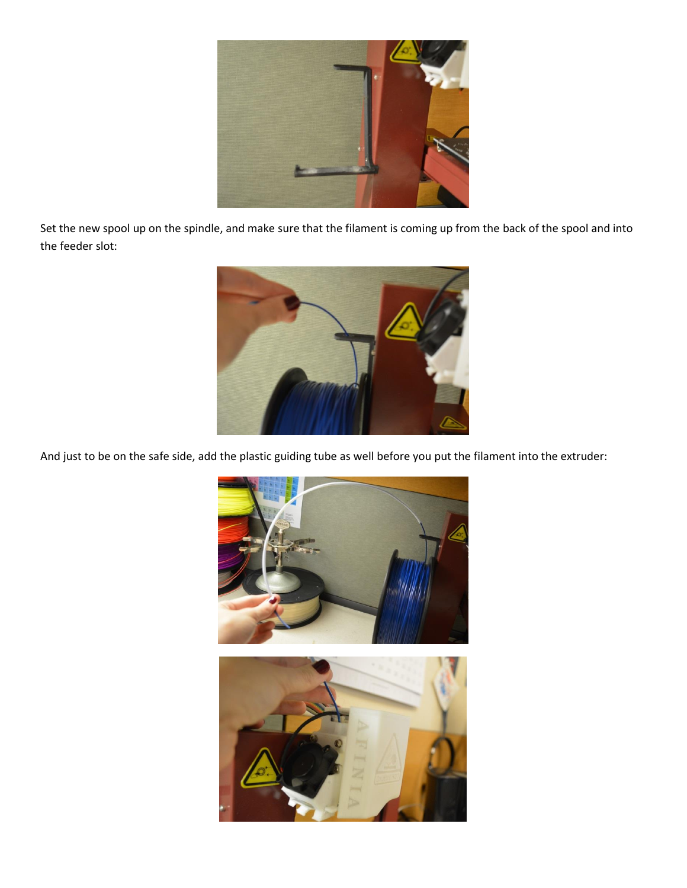

Set the new spool up on the spindle, and make sure that the filament is coming up from the back of the spool and into the feeder slot:



And just to be on the safe side, add the plastic guiding tube as well before you put the filament into the extruder:

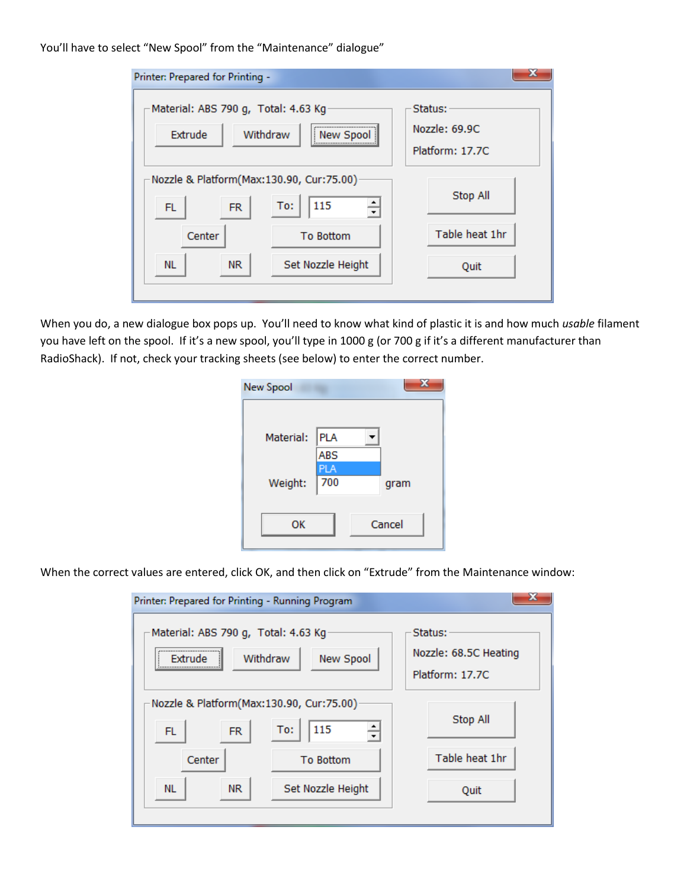You'll have to select "New Spool" from the "Maintenance" dialogue"

| Printer: Prepared for Printing -                                                                               |                                             |  |  |  |
|----------------------------------------------------------------------------------------------------------------|---------------------------------------------|--|--|--|
| Material: ABS 790 g, Total: 4.63 Kg<br>,,,,,,,,,,,,,,,,,,,,,,,,,,,,,,,,,,,<br>Withdraw<br>Extrude<br>New Spool | Status:<br>Nozzle: 69.9C<br>Platform: 17.7C |  |  |  |
| Nozzle & Platform(Max:130.90, Cur:75.00)<br>115<br>To:<br><b>FL</b><br><b>FR</b>                               | Stop All                                    |  |  |  |
| Center<br><b>To Bottom</b>                                                                                     | Table heat 1hr                              |  |  |  |
| Set Nozzle Height<br><b>NL</b><br>NR.                                                                          | Quit                                        |  |  |  |

When you do, a new dialogue box pops up. You'll need to know what kind of plastic it is and how much *usable* filament you have left on the spool. If it's a new spool, you'll type in 1000 g (or 700 g if it's a different manufacturer than RadioShack). If not, check your tracking sheets (see below) to enter the correct number.

| <b>PLA</b> |        |
|------------|--------|
| ABS        |        |
| <b>PLA</b> |        |
| 700        | gram   |
|            |        |
|            | Cancel |
|            |        |
|            |        |

When the correct values are entered, click OK, and then click on "Extrude" from the Maintenance window:

| Printer: Prepared for Printing - Running Program                                       |                   |                                                     |  |  |
|----------------------------------------------------------------------------------------|-------------------|-----------------------------------------------------|--|--|
| Material: ABS 790 g, Total: 4.63 Kg<br><br>Withdraw<br>New Spool<br><b>Extrude</b><br> |                   | Status:<br>Nozzle: 68.5C Heating<br>Platform: 17.7C |  |  |
| Nozzle & Platform(Max:130.90, Cur:75.00)<br>115<br>To:<br><b>FR</b><br>FL              |                   | Stop All                                            |  |  |
| Center                                                                                 | <b>To Bottom</b>  | Table heat 1hr                                      |  |  |
| NR.<br>NL.                                                                             | Set Nozzle Height | Quit                                                |  |  |